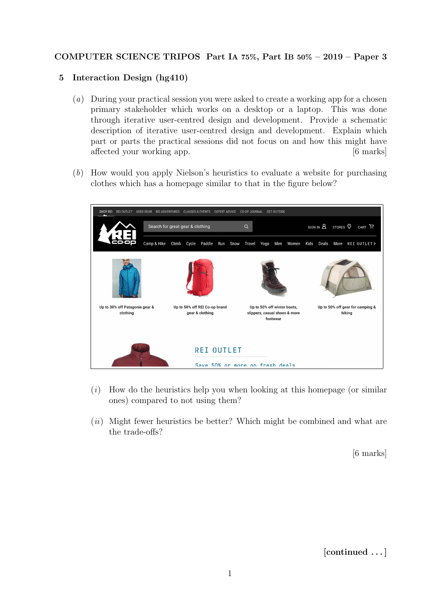## COMPUTER SCIENCE TRIPOS Part IA 75%, Part IB 50% – 2019 – Paper 3

## 5 Interaction Design (hg410)

- (a) During your practical session you were asked to create a working app for a chosen primary stakeholder which works on a desktop or a laptop. This was done through iterative user-centred design and development. Provide a schematic description of iterative user-centred design and development. Explain which part or parts the practical sessions did not focus on and how this might have affected your working app. [6 marks]
- (b) How would you apply Nielson's heuristics to evaluate a website for purchasing clothes which has a homepage similar to that in the figure below?



- $(i)$  How do the heuristics help you when looking at this homepage (or similar ones) compared to not using them?
- $(ii)$  Might fewer heuristics be better? Which might be combined and what are the trade-offs?

[6 marks]

[continued . . . ]